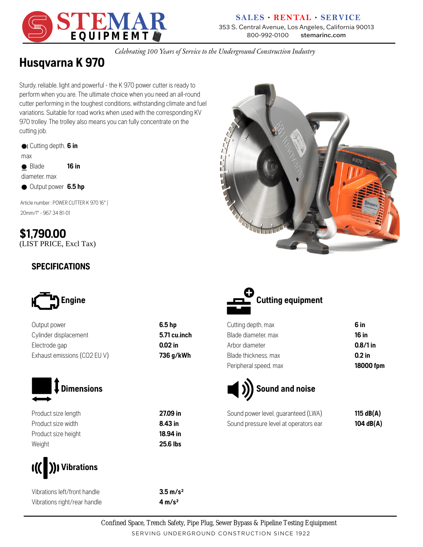

#### **SALES · RENTAL · SERVICE** 353 S. Central Avenue, Los Angeles, California 90013 **EQUIPMEMT**

*Celebrating 100 Years of Service to the Underground Construction Industry*

# **Husqvarna K 970**

cutting job. 970 trolley. The trolley also means you can fully concentrate on the variations. Suitable for road works when used with the corresponding KV cutter performing in the toughest conditions, withstanding climate and fuel perform when you are. The ultimate choice when you need an all-round Sturdy, reliable, light and powerful - the K 970 power cutter is ready to

| #I Cutting depth, 6 in |       |
|------------------------|-------|
| max                    |       |
| <b>参</b> Blade         | 16 in |

diameter, max

Output power **6.5 hp**

20mm/1" - 967 34 81-01 Article number : POWER CUTTER K 970 16" |

(LIST PRICE, Excl Tax) **\$1,790.00**

#### **SPECIFICATIONS**



Output power **6.5 hp** Cylinder displacement **5.71 cu.inch** Electrode gap **0.02 in** Exhaust emissions (CO2 EU V) **736 g/kWh**



Product size length **27.09 in** Product size width **8.43 in** Product size height **18.94 in** Weight **25.6 lbs**



Vibrations left/front handle **3.5 m/s²** Vibrations right/rear handle **4 m/s²**





| 6 in       |
|------------|
| 16 in      |
| $0.8/1$ in |
| $0.2$ in   |
| 18000 fpm  |
|            |



| Sound power level, guaranteed (LWA)   | 115 dB $(A)$ |
|---------------------------------------|--------------|
| Sound pressure level at operators ear | 104 dB(A)    |

SERVING UNDERGROUND CONSTRUCTION SINCE 1922 Confined Space, Trench Safety, Pipe Plug, Sewer Bypass & Pipeline Testing Eqiuipment